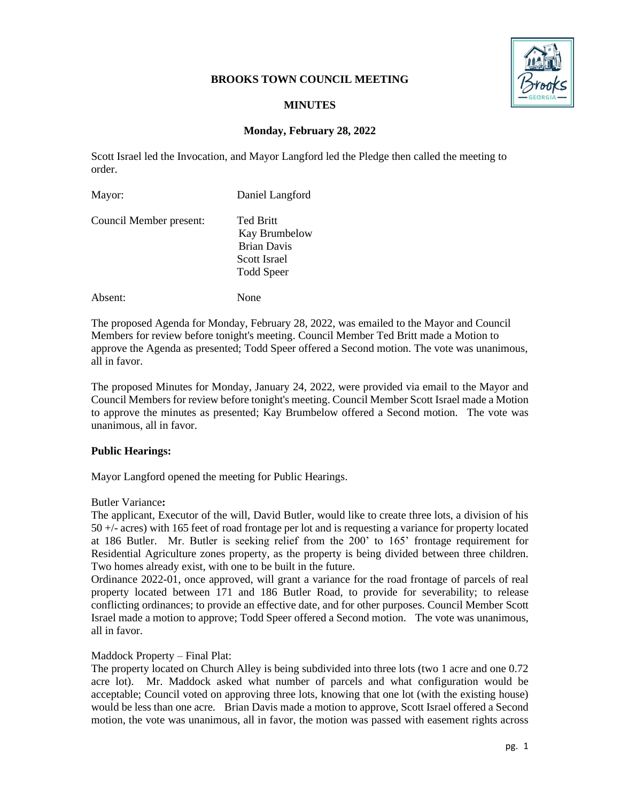# **BROOKS TOWN COUNCIL MEETING**



# **MINUTES**

# **Monday, February 28, 2022**

Scott Israel led the Invocation, and Mayor Langford led the Pledge then called the meeting to order.

| Mayor:                  | Daniel Langford                                                                       |
|-------------------------|---------------------------------------------------------------------------------------|
| Council Member present: | Ted Britt<br>Kay Brumbelow<br><b>Brian Davis</b><br>Scott Israel<br><b>Todd Speer</b> |

Absent: None

The proposed Agenda for Monday, February 28, 2022, was emailed to the Mayor and Council Members for review before tonight's meeting. Council Member Ted Britt made a Motion to approve the Agenda as presented; Todd Speer offered a Second motion. The vote was unanimous, all in favor.

The proposed Minutes for Monday, January 24, 2022, were provided via email to the Mayor and Council Members for review before tonight's meeting. Council Member Scott Israel made a Motion to approve the minutes as presented; Kay Brumbelow offered a Second motion. The vote was unanimous, all in favor.

### **Public Hearings:**

Mayor Langford opened the meeting for Public Hearings.

### Butler Variance**:**

The applicant, Executor of the will, David Butler, would like to create three lots, a division of his 50 +/- acres) with 165 feet of road frontage per lot and is requesting a variance for property located at 186 Butler. Mr. Butler is seeking relief from the 200' to 165' frontage requirement for Residential Agriculture zones property, as the property is being divided between three children. Two homes already exist, with one to be built in the future.

Ordinance 2022-01, once approved, will grant a variance for the road frontage of parcels of real property located between 171 and 186 Butler Road, to provide for severability; to release conflicting ordinances; to provide an effective date, and for other purposes. Council Member Scott Israel made a motion to approve; Todd Speer offered a Second motion. The vote was unanimous, all in favor.

### Maddock Property – Final Plat:

The property located on Church Alley is being subdivided into three lots (two 1 acre and one 0.72 acre lot). Mr. Maddock asked what number of parcels and what configuration would be acceptable; Council voted on approving three lots, knowing that one lot (with the existing house) would be less than one acre. Brian Davis made a motion to approve, Scott Israel offered a Second motion, the vote was unanimous, all in favor, the motion was passed with easement rights across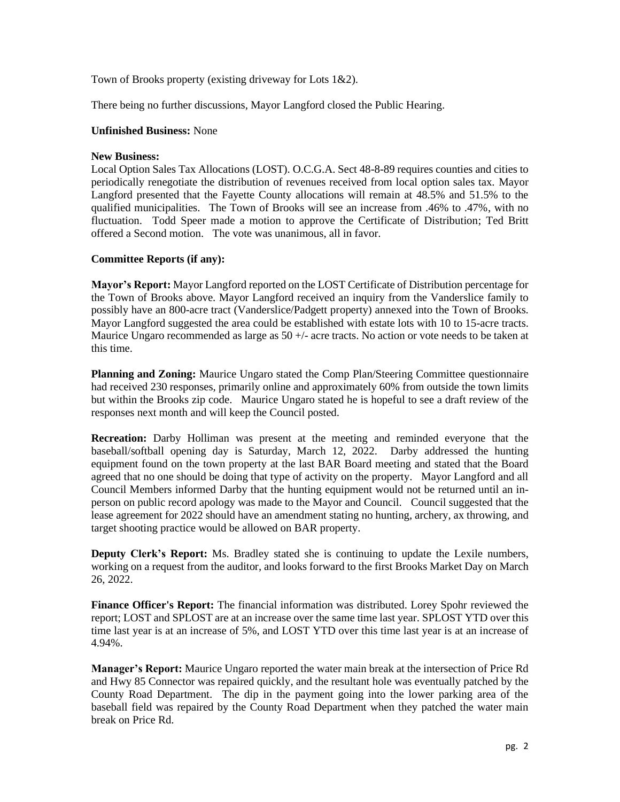Town of Brooks property (existing driveway for Lots 1&2).

There being no further discussions, Mayor Langford closed the Public Hearing.

### **Unfinished Business:** None

### **New Business:**

Local Option Sales Tax Allocations (LOST). O.C.G.A. Sect 48-8-89 requires counties and cities to periodically renegotiate the distribution of revenues received from local option sales tax. Mayor Langford presented that the Fayette County allocations will remain at 48.5% and 51.5% to the qualified municipalities. The Town of Brooks will see an increase from .46% to .47%, with no fluctuation. Todd Speer made a motion to approve the Certificate of Distribution; Ted Britt offered a Second motion. The vote was unanimous, all in favor.

# **Committee Reports (if any):**

**Mayor's Report:** Mayor Langford reported on the LOST Certificate of Distribution percentage for the Town of Brooks above. Mayor Langford received an inquiry from the Vanderslice family to possibly have an 800-acre tract (Vanderslice/Padgett property) annexed into the Town of Brooks. Mayor Langford suggested the area could be established with estate lots with 10 to 15-acre tracts. Maurice Ungaro recommended as large as  $50 +/-$  acre tracts. No action or vote needs to be taken at this time.

**Planning and Zoning:** Maurice Ungaro stated the Comp Plan/Steering Committee questionnaire had received 230 responses, primarily online and approximately 60% from outside the town limits but within the Brooks zip code. Maurice Ungaro stated he is hopeful to see a draft review of the responses next month and will keep the Council posted.

**Recreation:** Darby Holliman was present at the meeting and reminded everyone that the baseball/softball opening day is Saturday, March 12, 2022. Darby addressed the hunting equipment found on the town property at the last BAR Board meeting and stated that the Board agreed that no one should be doing that type of activity on the property. Mayor Langford and all Council Members informed Darby that the hunting equipment would not be returned until an inperson on public record apology was made to the Mayor and Council. Council suggested that the lease agreement for 2022 should have an amendment stating no hunting, archery, ax throwing, and target shooting practice would be allowed on BAR property.

**Deputy Clerk's Report:** Ms. Bradley stated she is continuing to update the Lexile numbers, working on a request from the auditor, and looks forward to the first Brooks Market Day on March 26, 2022.

**Finance Officer's Report:** The financial information was distributed. Lorey Spohr reviewed the report; LOST and SPLOST are at an increase over the same time last year. SPLOST YTD over this time last year is at an increase of 5%, and LOST YTD over this time last year is at an increase of 4.94%.

**Manager's Report:** Maurice Ungaro reported the water main break at the intersection of Price Rd and Hwy 85 Connector was repaired quickly, and the resultant hole was eventually patched by the County Road Department. The dip in the payment going into the lower parking area of the baseball field was repaired by the County Road Department when they patched the water main break on Price Rd.